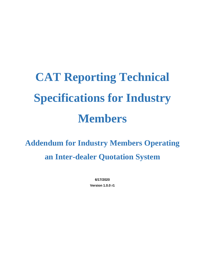# **CAT Reporting Technical Specifications for Industry Members**

**Addendum for Industry Members Operating an Inter-dealer Quotation System**

> **6/17/2020 Version 1.0.0 r1**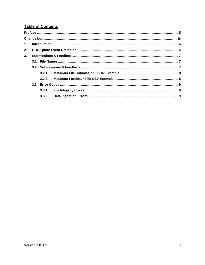# **Table of Contents**

| 2. |  |  |  |  |
|----|--|--|--|--|
| 3. |  |  |  |  |
|    |  |  |  |  |
|    |  |  |  |  |
|    |  |  |  |  |
|    |  |  |  |  |
|    |  |  |  |  |
|    |  |  |  |  |
|    |  |  |  |  |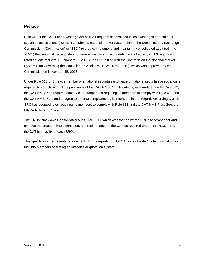## <span id="page-2-0"></span>**Preface**

Rule 613 of the Securities Exchange Act of 1934 requires national securities exchanges and national securities associations ("SROs") to submit a national market system plan to the Securities and Exchange Commission ("Commission" or "SEC") to create, implement, and maintain a consolidated audit trail (the "CAT") that would allow regulators to more efficiently and accurately track all activity in U.S. equity and listed options markets. Pursuant to Rule 613, the SROs filed with the Commission the National Market System Plan Governing the Consolidated Audit Trail ("CAT NMS Plan"), which was approved by the Commission on November 15, 2016.

Under Rule 613(g)(2), each member of a national securities exchange or national securities association is required to comply with all the provisions of the CAT NMS Plan. Relatedly, as mandated under Rule 613, the CAT NMS Plan requires each SRO to adopt rules requiring its members to comply with Rule 613 and the CAT NMS Plan, and to agree to enforce compliance by its members in that regard. Accordingly, each SRO has adopted rules requiring its members to comply with Rule 613 and the CAT NMS Plan. See, e.g., FINRA Rule 6800 Series.

The SROs jointly own Consolidated Audit Trail, LLC, which was formed by the SROs to arrange for and oversee the creation, implementation, and maintenance of the CAT as required under Rule 613. Thus, the CAT is a facility of each SRO.

This specification represents requirements for the reporting of OTC Equities Inside Quote information for Industry Members operating an inter-dealer quotation system.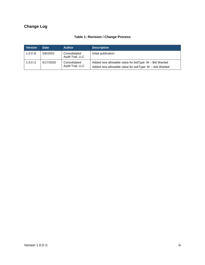# <span id="page-3-0"></span>**Change Log**

| <b>Version</b> | <b>Date</b> | <b>Author</b>                    | <b>Description</b>                                                                                                  |
|----------------|-------------|----------------------------------|---------------------------------------------------------------------------------------------------------------------|
| 1.0.0 $r$ 0    | 5/8/2020    | Consolidated<br>Audit Trail, LLC | Initial publication                                                                                                 |
| 1.0.0 r1       | 6/17/2020   | Consolidated<br>Audit Trail, LLC | Added new allowable value for $bidType: W - Bid$ Wanted<br>Added new allowable value for $askType$ : W – Ask Wanted |

# **Table 1: Revision / Change Process**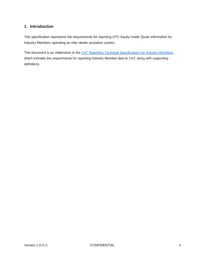# <span id="page-4-0"></span>**1. Introduction**

This specification represents the requirements for reporting OTC Equity Inside Quote information for Industry Members operating an inter-dealer quotation system.

This document is an Addendum to the [CAT Reporting Technical Specifications for Industry Members,](https://www.catnmsplan.com/technical-specifications/index.html) which includes the requirements for reporting Industry Member data to CAT along with supporting definitions.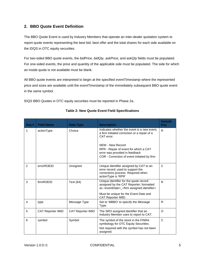# <span id="page-5-0"></span>**2. BBO Quote Event Definition**

The BBO Quote Event is used by Industry Members that operate an inter-dealer quotation system to report quote events representing the best bid, best offer and the total shares for each side available on the IDQS in OTC equity securities.

For two-sided BBO quote events, the *bidPrice, bidQty, askPrice*, and *askQty* fields must be populated. For one-sided events, the price and quantity of the applicable side must be populated. The side for which an inside quote is not available must be blank.

All BBO quote events are interpreted to begin at the specified *eventTimestamp* where the represented price and sizes are available until the *eventTimestamp* of the immediately subsequent BBO quote event in the same symbol.

IDQS BBO Quotes in OTC equity securities must be reported in Phase 2a.

| Seq#           | <b>Field Name</b>        | Data Type                | <b>Description</b>                                                                                                                                                                                                                                      | Include<br><b>Key</b> |
|----------------|--------------------------|--------------------------|---------------------------------------------------------------------------------------------------------------------------------------------------------------------------------------------------------------------------------------------------------|-----------------------|
| 1              | actionType               | Choice                   | Indicates whether the event is a new event,<br>a firm initiated correction or a repair of a<br>CAT error.<br>NEW - New Record<br>RPR - Repair of event for which a CAT<br>error was provided in feedback<br>COR - Correction of event initiated by firm | R.                    |
| 2              | errorROEID               | Unsigned                 | Unique identifier assigned by CAT to an<br>error record; used to support the<br>corrections process. Required when<br>actionType is 'RPR'                                                                                                               | $\mathsf{C}$          |
| 3              | firmROEID                | Text (64)                | Unique identifier for the quote record<br>assigned by the CAT Reporter; formatted<br>as <eventdate>_<firm assigned="" identifier=""><br/>Must be unique for the Event Date and<br/>CAT Reporter IMID.</firm></eventdate>                                | R                     |
| $\overline{4}$ | type                     | Message Type             | Set to 'MBBO' to specify the Message<br>Type.                                                                                                                                                                                                           | R                     |
| 5              | <b>CAT Reporter IMID</b> | <b>CAT Reporter IMID</b> | The SRO assigned identifier that an<br>Industry Member uses to report to CAT.                                                                                                                                                                           | $\circ$               |
| 6              | symbol                   | Symbol                   | The symbol of the stock in the FINRA<br>symbology for OTC Equity Securities.<br>Not required with the symbol has not been<br>assigned.                                                                                                                  | $\mathsf{C}$          |

#### **Table 2: New Quote Event Field Specifications**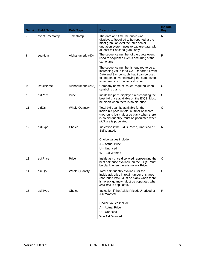| Seq # | <b>Field Name</b> | <b>Data Type</b>      | <b>Description</b>                                                                                                                                                                                                  | Include<br><b>Key</b> |
|-------|-------------------|-----------------------|---------------------------------------------------------------------------------------------------------------------------------------------------------------------------------------------------------------------|-----------------------|
| 7     | eventTimestamp    | Timestamp             | The date and time the quote was<br>displayed. Required to be reported at the<br>most granular level the Inter-dealer<br>quotation system uses to capture data, with<br>at least millisecond granularity.            | R                     |
| 8     | seqNum            | Alphanumeric (40)     | The sequence number of the quote event,<br>used to sequence events occurring at the<br>same time                                                                                                                    | $\mathsf{R}$          |
|       |                   |                       | The sequence number is required to be an<br>increasing value for a CAT Reporter, Event<br>Date and Symbol such that it can be used<br>to sequence events having the same event<br>timestamp in chronological order. |                       |
| 9     | issueName         | Alphanumeric (255)    | Company name of issue; Required when<br>symbol is blank.                                                                                                                                                            | $\mathsf{C}$          |
| 10    | bidPrice          | Price                 | Inside bid price displayed representing the<br>best bid price available on the IDQS. Must<br>be blank when there is no bid price.                                                                                   | C                     |
| 11    | bidQty            | <b>Whole Quantity</b> | Total bid quantity available for the<br>inside bid price in total number of shares<br>(not round lots). Must be blank when there<br>is no bid quantity. Must be populated when<br>bidPrice is populated.            | $\mathsf{C}$          |
| 12    | bidType           | Choice                | Indication if the Bid is Priced, Unpriced or<br>Bid Wanted.<br>Choice values include:<br>A - Actual Price<br>$U -$ Unpriced<br>W - Bid Wanted                                                                       | R.                    |
| 13    | askPrice          | Price                 | Inside ask price displayed representing the<br>best ask price available on the IDQS. Must<br>be blank when there is no ask Price.                                                                                   | $\mathsf{C}$          |
| 14    | askQty            | <b>Whole Quantity</b> | Total ask quantity available for the<br>inside ask price in total number of shares<br>(not round lots). Must be blank when there<br>is no ask quantity. Must be populated when<br>askPrice is populated.            | $\mathsf C$           |
| 15    | askType           | Choice                | Indication if the Ask is Priced, Unpriced or<br>Ask Wanted.<br>Choice values include:<br>A - Actual Price<br>$U -$ Unpriced<br>W - Ask Wanted                                                                       | R                     |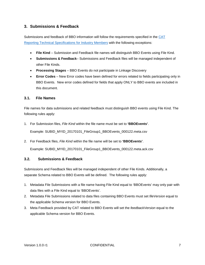# <span id="page-7-0"></span>**3. Submissions & Feedback**

Submissions and feedback of BBO information will follow the requirements specified in the [CAT](https://www.catnmsplan.com/technical-specifications/index.html)  [Reporting Technical Specifications for Industry Members](https://www.catnmsplan.com/technical-specifications/index.html) with the following exceptions:

- **File Kind** Submission and Feedback file names will distinguish BBO Events using File Kind.
- **Submissions & Feedback** Submissions and Feedback files will be managed independent of other File Kinds.
- **Processing Stages** BBO Events do not participate in Linkage Discovery
- **Error Codes** New Error codes have been defined for errors related to fields participating only in BBO Events. New error codes defined for fields that apply ONLY to BBO events are included in this document.

## <span id="page-7-1"></span>**3.1. File Names**

File names for data submissions and related feedback must distinguish BBO events using File Kind. The following rules apply:

1. For Submission files, *File Kind* within the file name must be set to **'BBOEvents'**.

Example: SUBID\_MYID\_20170101\_FileGroup1\_BBOEvents\_000122.meta.csv

2. For Feedback files, *File Kind* within the file name will be set to **'BBOEvents'**.

<span id="page-7-2"></span>Example: SUBID\_MYID\_20170101\_FileGroup1\_BBOEvents\_000122.meta.ack.csv

#### **3.2. Submissions & Feedback**

Submissions and Feedback files will be managed independent of other File Kinds. Additionally, a separate Schema related to BBO Events will be defined. The following rules apply:

- 1. Metadata File Submissions with a file name having File Kind equal to 'BBOEvents' may only pair with data files with a File Kind equal to 'BBOEvents'.
- 2. Metadata File Submissions related to data files containing BBO Events must set *fileVersion* equal to the applicable Schema version for BBO Events.
- 3. Meta Feedback provided by CAT related to BBO Events will set the *feedbackVersion* equal to the applicable Schema version for BBO Events.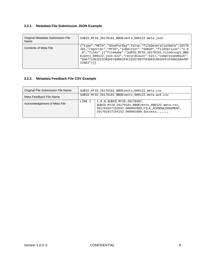#### <span id="page-8-0"></span>**3.2.1. Metadata File Submission JSON Example**

| Original Metadata Submission File<br>Name | SUBID MYID 20170101 BBOEvents 000122.meta.json                                                                                                                                                                                                                                                                                                       |
|-------------------------------------------|------------------------------------------------------------------------------------------------------------------------------------------------------------------------------------------------------------------------------------------------------------------------------------------------------------------------------------------------------|
| Contents of Meta File                     | {"type":"META","doneForDay":false,"fileGenerationDate":20170<br>101, "reporter": "MYID", "submitter": "SUBID", "fileVersion": "1.0<br>.0","files":[{"fileName":"SUBID_MYID_20170101_FileGroup1_BBO<br>Events_000122.json.bz2", "recordCount":5217, "compressedHash":<br>"99A7712E2CC1CB3A5789B91E3C1D1E76D7F83D82C8D35FF1F56B156A49C<br>$228E2"$ }]} |

# <span id="page-8-1"></span>**3.2.2. Metadata Feedback File CSV Example**

| <b>Original File Submission File Name</b> | SUBID_MYID_20170101_BBOEvents_000122.meta.csv     |                                                                                                                                                                                        |  |
|-------------------------------------------|---------------------------------------------------|----------------------------------------------------------------------------------------------------------------------------------------------------------------------------------------|--|
| Meta Feedback File Name                   | SUBID MYID 20170101 BBOEvents 000122.meta.ack.csv |                                                                                                                                                                                        |  |
| Acknowledgement of Meta File              | LINE 1                                            | 1.0.0, SUBID, MYID, 20170307,<br>SUBID_MYID_20170101_BBOEvents_000122.meta.csv,<br>20170101T153552.000001089, FILE ACKNOWLEDGEMENT,<br>20170101T154152.000001089, Success, , , , , , , |  |